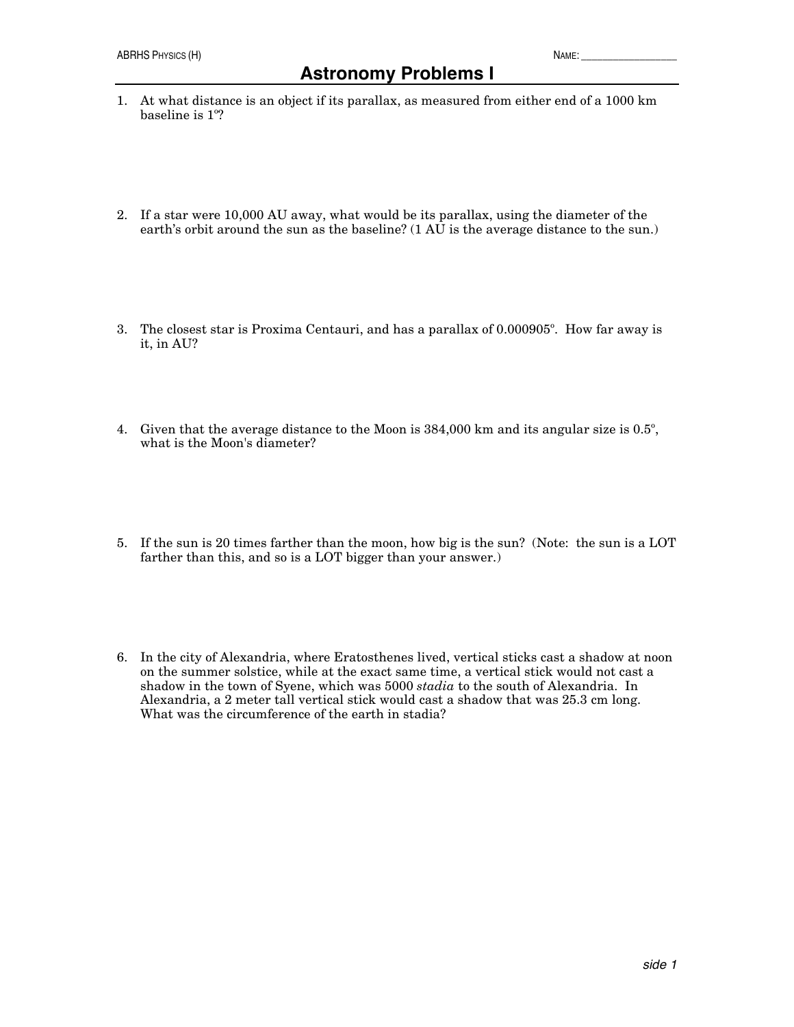- 2. If a star were 10,000 AU away, what would be its parallax, using the diameter of the earth's orbit around the sun as the baseline? (1 AU is the average distance to the sun.)
- 3. The closest star is Proxima Centauri, and has a parallax of 0.000905º. How far away is it, in AU?
- 4. Given that the average distance to the Moon is 384,000 km and its angular size is 0.5º, what is the Moon's diameter?
- 5. If the sun is 20 times farther than the moon, how big is the sun? (Note: the sun is a LOT farther than this, and so is a LOT bigger than your answer.)
- 6. In the city of Alexandria, where Eratosthenes lived, vertical sticks cast a shadow at noon on the summer solstice, while at the exact same time, a vertical stick would not cast a shadow in the town of Syene, which was 5000 *stadia* to the south of Alexandria. In Alexandria, a 2 meter tall vertical stick would cast a shadow that was 25.3 cm long. What was the circumference of the earth in stadia?